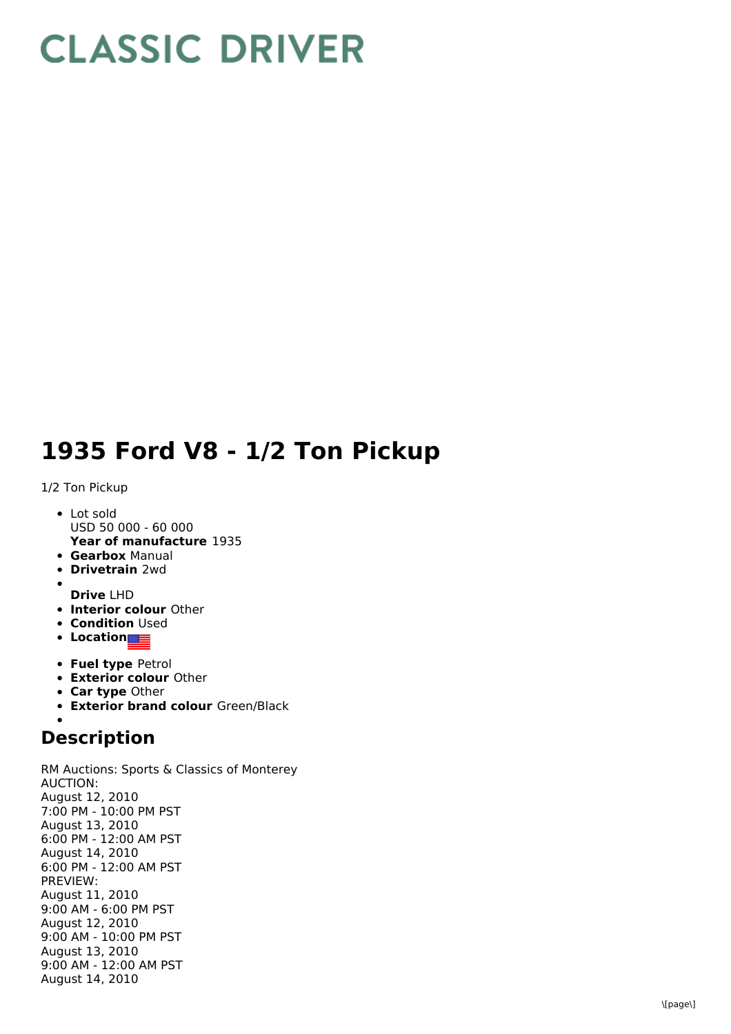## **CLASSIC DRIVER**

## 1935 Ford V8 - 1/2 Ton Pickup

## 1/2 Ton Pickup

- **Year of manufacture** 1935 L o t s old USD 50 000 - 60 000
- **Gearbox** Manual
- **Drivetrain** 2wd
- **Drive** LHD
- **Interior colour** Other
- **Condition** Used
- **Location**
- **Fuel type Petrol**
- **Exterior colour Other**
- **Car type Other**
- **Exterior brand colour** Green/Black

## **Description**

RM Auctions: Sports & Classics of Monterey A U C TIO N: August 12, 2 0 1 0 7:00 PM - 10:00 PM PST August 13, 2010 6:00 PM - 12:00 AM PST August 14, 2010 6:00 PM - 12:00 AM PST P R E VIE W: August 11, 2 0 1 0 9:00 AM - 6:00 PM PST August 12, 2010 9:00 AM - 10:00 PM PST August 13, 2010 9:00 AM - 12:00 AM PST August 14, 2010